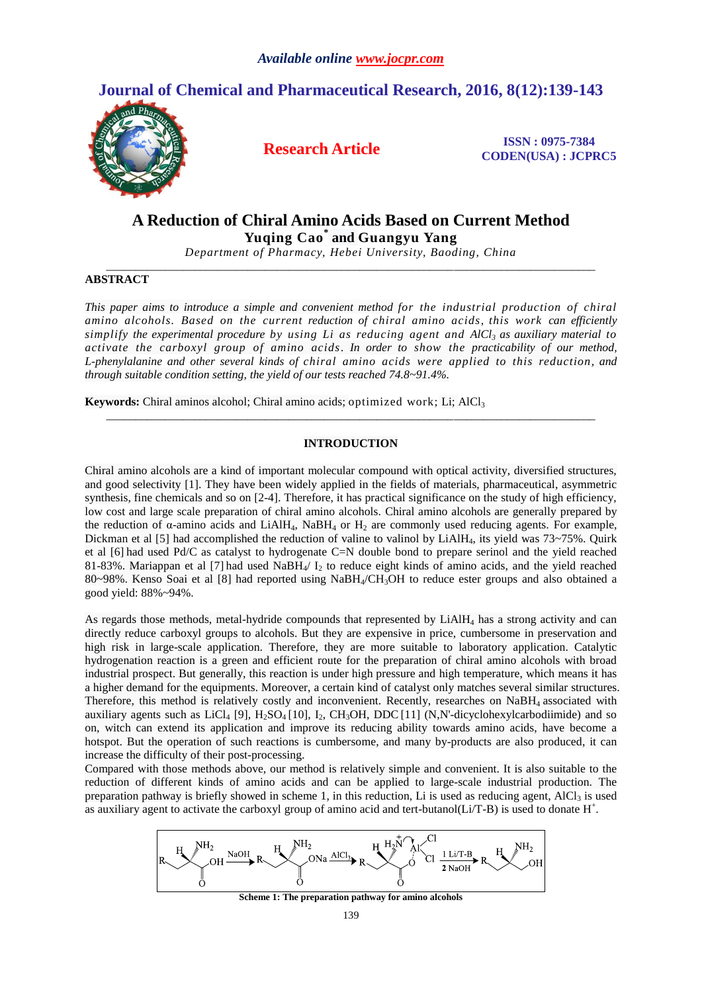# **Journal of Chemical and Pharmaceutical Research, 2016, 8(12):139-143**



**Research Article ISSN : 0975-7384 CODEN(USA) : JCPRC5**

# **A Reduction of Chiral Amino Acids Based on Current Method Yuqing Cao\* and Guangyu Yang**

*Department of Pharmacy, Hebei University, Baoding, China \_\_\_\_\_\_\_\_\_\_\_\_\_\_\_\_\_\_\_\_\_\_\_\_\_\_\_\_\_\_\_\_\_\_\_\_\_\_\_\_\_\_\_\_\_\_\_\_\_\_\_\_\_\_\_\_\_\_\_\_\_\_\_\_\_\_\_\_\_\_\_\_\_\_\_\_\_\_\_\_\_\_\_*

## **ABSTRACT**

*This paper aims to introduce a simple and convenient method for the industrial production of chiral amino alcohols. Based on the current reduction of chiral amino acids, this work can efficiently simplify the experimental procedure by using Li as reducing agent and AlCl<sup>3</sup> as auxiliary material to activate the carboxyl group of amino acids. In order to show the practicability of our method, L-phenylalanine and other several kinds of chiral amino acids were applied to this reduction, and through suitable condition setting, the yield of our tests reached 74.8~91.4%.*

**Keywords:** Chiral aminos alcohol; Chiral amino acids; optimized work; Li; AlCl<sub>3</sub>

## **INTRODUCTION**

*\_\_\_\_\_\_\_\_\_\_\_\_\_\_\_\_\_\_\_\_\_\_\_\_\_\_\_\_\_\_\_\_\_\_\_\_\_\_\_\_\_\_\_\_\_\_\_\_\_\_\_\_\_\_\_\_\_\_\_\_\_\_\_\_\_\_\_\_\_\_\_\_\_\_\_\_\_\_\_\_\_\_\_*

Chiral amino alcohols are a kind of important molecular compound with optical activity, diversified structures, and good selectivity [1]. They have been widely applied in the fields of materials, pharmaceutical, asymmetric synthesis, fine chemicals and so on [2-4]. Therefore, it has practical significance on the study of high efficiency, low cost and large scale preparation of chiral amino alcohols. Chiral amino alcohols are generally prepared by the reduction of  $\alpha$ -amino acids and LiAlH<sub>4</sub>, NaBH<sub>4</sub> or H<sub>2</sub> are commonly used reducing agents. For example, Dickman et al [5] had accomplished the reduction of valine to valinol by LiAlH<sub>4</sub>, its yield was  $73\neg 75\%$ . Ouirk et al [6] had used Pd/C as catalyst to hydrogenate C=N double bond to prepare serinol and the yield reached 81-83%. Mariappan et al [7] had used  $N$ a $BH_{4}/ I_{2}$  to reduce eight kinds of amino acids, and the yield reached 80~98%. Kenso Soai et al [8] had reported using NaBH4/CH3OH to reduce ester groups and also obtained a good yield: 88%~94%.

As regards those methods, metal-hydride compounds that represented by LiAlH<sup>4</sup> has a strong activity and can directly reduce carboxyl groups to alcohols. But they are expensive in price, cumbersome in preservation and high risk in large-scale application. Therefore, they are more suitable to laboratory application. Catalytic hydrogenation reaction is a green and efficient route for the preparation of chiral amino alcohols with broad industrial prospect. But generally, this reaction is under high pressure and high temperature, which means it has a higher demand for the equipments. Moreover, a certain kind of catalyst only matches several similar structures. Therefore, this method is relatively costly and inconvenient. Recently, researches on NaBH<sub>4</sub> associated with auxiliary agents such as  $LiCl_4$  [9],  $H_2SO_4$  [10], I<sub>2</sub>, CH<sub>3</sub>OH, DDC [11] (N,N'-dicyclohexylcarbodiimide) and so on, witch can extend its application and improve its reducing ability towards amino acids, have become a hotspot. But the operation of such reactions is cumbersome, and many by-products are also produced, it can increase the difficulty of their post-processing.

Compared with those methods above, our method is relatively simple and convenient. It is also suitable to the reduction of different kinds of amino acids and can be applied to large-scale industrial production. The preparation pathway is briefly showed in scheme 1, in this reduction, Li is used as reducing agent,  $AICI_3$  is used as auxiliary agent to activate the carboxyl group of amino acid and tert-butanol( $Li/T-B$ ) is used to donate  $H^+$ .



**Scheme 1: The preparation pathway for amino alcohols**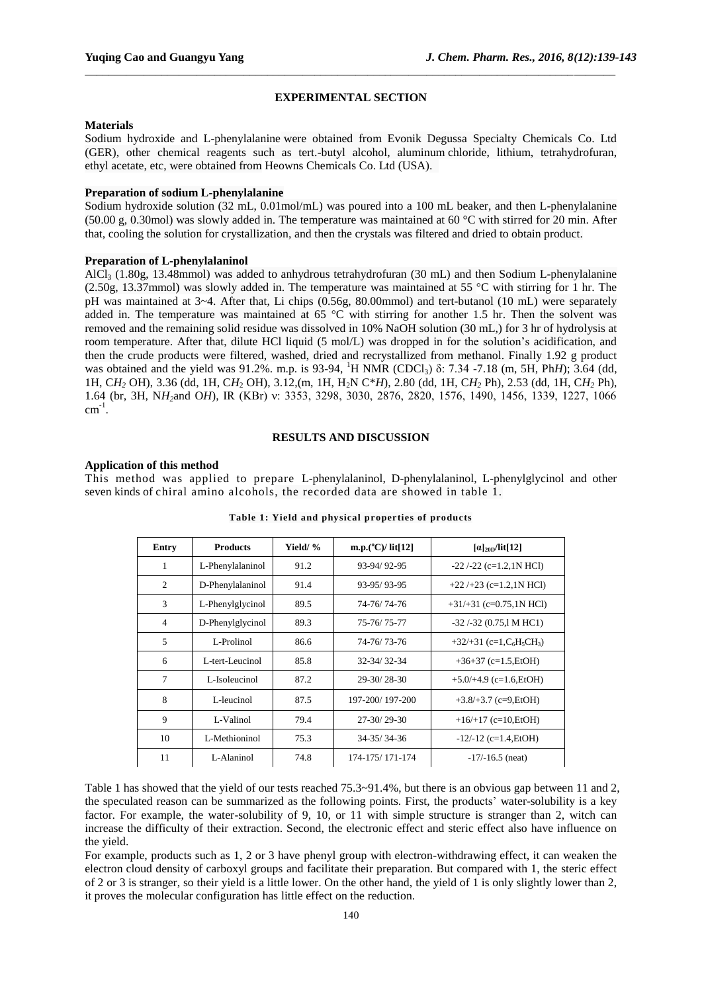## **EXPERIMENTAL SECTION**

\_\_\_\_\_\_\_\_\_\_\_\_\_\_\_\_\_\_\_\_\_\_\_\_\_\_\_\_\_\_\_\_\_\_\_\_\_\_\_\_\_\_\_\_\_\_\_\_\_\_\_\_\_\_\_\_\_\_\_\_\_\_\_\_\_\_\_\_\_\_\_\_\_\_\_\_\_\_\_\_\_\_\_\_\_\_\_\_\_\_

## **Materials**

Sodium hydroxide and L-phenylalanine were obtained from Evonik Degussa Specialty Chemicals Co. Ltd (GER), other chemical reagents such as tert.-butyl alcohol, aluminum chloride, lithium, tetrahydrofuran, ethyl acetate, etc, were obtained from Heowns Chemicals Co. Ltd (USA).

## **Preparation of sodium L-phenylalanine**

Sodium hydroxide solution (32 mL, 0.01mol/mL) was poured into a 100 mL beaker, and then L-phenylalanine (50.00 g, 0.30mol) was slowly added in. The temperature was maintained at 60 °C with stirred for 20 min. After that, cooling the solution for crystallization, and then the crystals was filtered and dried to obtain product.

### **Preparation of L-phenylalaninol**

AlCl<sub>3</sub> (1.80g, 13.48mmol) was added to anhydrous tetrahydrofuran (30 mL) and then Sodium L-phenylalanine (2.50g, 13.37mmol) was slowly added in. The temperature was maintained at 55 °C with stirring for 1 hr. The pH was maintained at 3~4. After that, Li chips (0.56g, 80.00mmol) and tert-butanol (10 mL) were separately added in. The temperature was maintained at 65  $^{\circ}$ C with stirring for another 1.5 hr. Then the solvent was removed and the remaining solid residue was dissolved in 10% NaOH solution (30 mL,) for 3 hr of hydrolysis at room temperature. After that, dilute HCl liquid (5 mol/L) was dropped in for the solution's acidification, and then the crude products were filtered, washed, dried and recrystallized from methanol. Finally 1.92 g product was obtained and the yield was 91.2%. m.p. is 93-94, <sup>1</sup>H NMR (CDCl<sub>3</sub>) δ: 7.34 -7.18 (m, 5H, Ph*H*); 3.64 (dd, 1H, C*H<sup>2</sup>* OH), 3.36 (dd, 1H, C*H*<sup>2</sup> OH), 3.12,(m, 1H, H2N C\**H*), 2.80 (dd, 1H, C*H<sup>2</sup>* Ph), 2.53 (dd, 1H, C*H<sup>2</sup>* Ph), 1.64 (br, 3H, N*H2*and O*H*), IR (KBr) ν: 3353, 3298, 3030, 2876, 2820, 1576, 1490, 1456, 1339, 1227, 1066  $cm^{-1}$ .

## **RESULTS AND DISCUSSION**

#### **Application of this method**

This method was applied to prepare L-phenylalaninol, D-phenylalaninol, L-phenylglycinol and other seven kinds of chiral amino alcohols, the recorded data are showed in table 1.

| <b>Entry</b>   | <b>Products</b>  | Yield/ % | m.p.( $^{\circ}$ C)/ lit[12] | $\alpha$ <sub>20D</sub> /lit[12]                               |
|----------------|------------------|----------|------------------------------|----------------------------------------------------------------|
| 1              | L-Phenylalaninol | 91.2     | 93-94/92-95                  | $-22$ $\left(-22 \right)$ $(c=1.2,1N$ HCl                      |
| 2              | D-Phenylalaninol | 91.4     | 93-95/93-95                  | $+22$ /+23 (c=1.2,1N HCl)                                      |
| 3              | L-Phenylglycinol | 89.5     | 74-76/74-76                  | $+31/+31$ (c=0.75,1N HCl)                                      |
| $\overline{4}$ | D-Phenylglycinol | 89.3     | 75-76/75-77                  | $-32$ /-32 (0.75,1 M HC1)                                      |
| 5              | L-Prolinol       | 86.6     | 74-76/73-76                  | $+32/+31$ (c=1,C <sub>6</sub> H <sub>5</sub> CH <sub>3</sub> ) |
| 6              | L-tert-Leucinol  | 85.8     | 32-34/32-34                  | $+36+37$ (c=1.5, EtOH)                                         |
| 7              | L-Isoleucinol    | 87.2     | $29 - 30/28 - 30$            | $+5.0/+4.9$ (c=1.6, EtOH)                                      |
| 8              | L-leucinol       | 87.5     | 197-200/197-200              | $+3.8/+3.7$ (c=9, EtOH)                                        |
| 9              | L-Valinol        | 79.4     | $27 - 30/29 - 30$            | $+16/+17$ (c=10, EtOH)                                         |
| 10             | L-Methioninol    | 75.3     | $34 - 35/34 - 36$            | $-12/-12$ (c=1.4, EtOH)                                        |
| 11             | L-Alaninol       | 74.8     | 174-175/171-174              | $-17/-16.5$ (neat)                                             |

**Table 1: Yield and physical properties of products**

Table 1 has showed that the yield of our tests reached 75.3~91.4%, but there is an obvious gap between 11 and 2, the speculated reason can be summarized as the following points. First, the products' water-solubility is a key factor. For example, the water-solubility of 9, 10, or 11 with simple structure is stranger than 2, witch can increase the difficulty of their extraction. Second, the electronic effect and steric effect also have influence on the yield.

For example, products such as 1, 2 or 3 have phenyl group with electron-withdrawing effect, it can weaken the electron cloud density of carboxyl groups and facilitate their preparation. But compared with 1, the steric effect of 2 or 3 is stranger, so their yield is a little lower. On the other hand, the yield of 1 is only slightly lower than 2, it proves the molecular configuration has little effect on the reduction.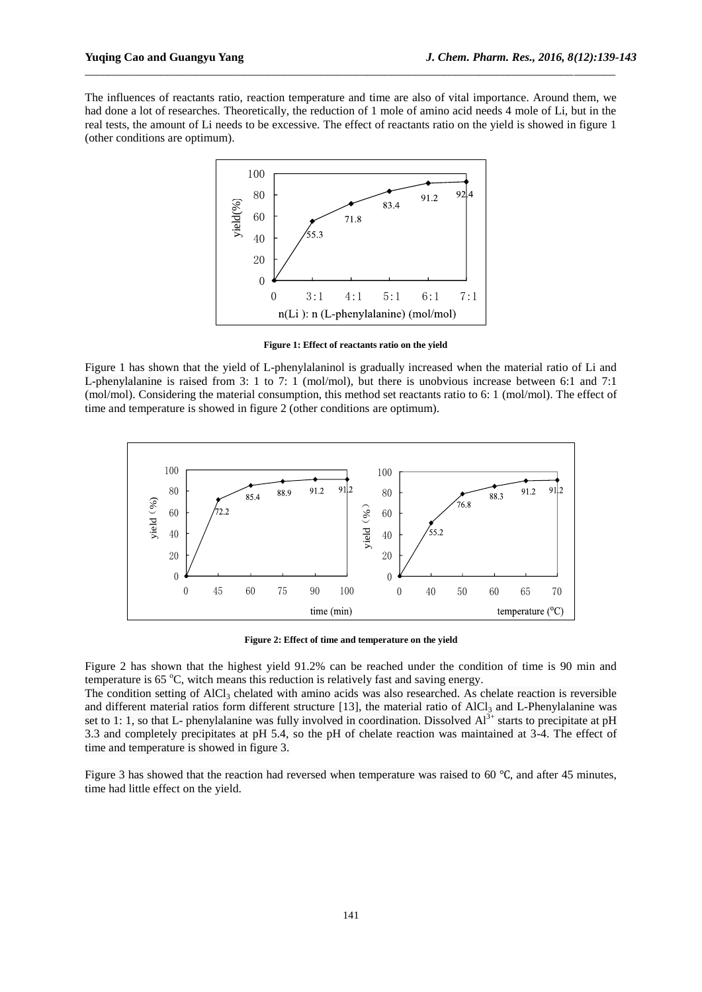The influences of reactants ratio, reaction temperature and time are also of vital importance. Around them, we had done a lot of researches. Theoretically, the reduction of 1 mole of amino acid needs 4 mole of Li, but in the real tests, the amount of Li needs to be excessive. The effect of reactants ratio on the yield is showed in figure 1 (other conditions are optimum).

\_\_\_\_\_\_\_\_\_\_\_\_\_\_\_\_\_\_\_\_\_\_\_\_\_\_\_\_\_\_\_\_\_\_\_\_\_\_\_\_\_\_\_\_\_\_\_\_\_\_\_\_\_\_\_\_\_\_\_\_\_\_\_\_\_\_\_\_\_\_\_\_\_\_\_\_\_\_\_\_\_\_\_\_\_\_\_\_\_\_



**Figure 1: Effect of reactants ratio on the yield**

Figure 1 has shown that the yield of L-phenylalaninol is gradually increased when the material ratio of Li and L-phenylalanine is raised from 3: 1 to 7: 1 (mol/mol), but there is unobvious increase between 6:1 and 7:1 (mol/mol). Considering the material consumption, this method set reactants ratio to 6: 1 (mol/mol). The effect of time and temperature is showed in figure 2 (other conditions are optimum).



**Figure 2: Effect of time and temperature on the yield**

Figure 2 has shown that the highest yield 91.2% can be reached under the condition of time is 90 min and temperature is  $65 \degree C$ , witch means this reduction is relatively fast and saving energy.

The condition setting of  $AICI_3$  chelated with amino acids was also researched. As chelate reaction is reversible and different material ratios form different structure [13], the material ratio of  $AICI_3$  and L-Phenylalanine was set to 1: 1, so that L- phenylalanine was fully involved in coordination. Dissolved  $\overline{Al}^{3+}$  starts to precipitate at pH 3.3 and completely precipitates at pH 5.4, so the pH of chelate reaction was maintained at 3-4. The effect of time and temperature is showed in figure 3.

Figure 3 has showed that the reaction had reversed when temperature was raised to 60 ℃, and after 45 minutes, time had little effect on the yield.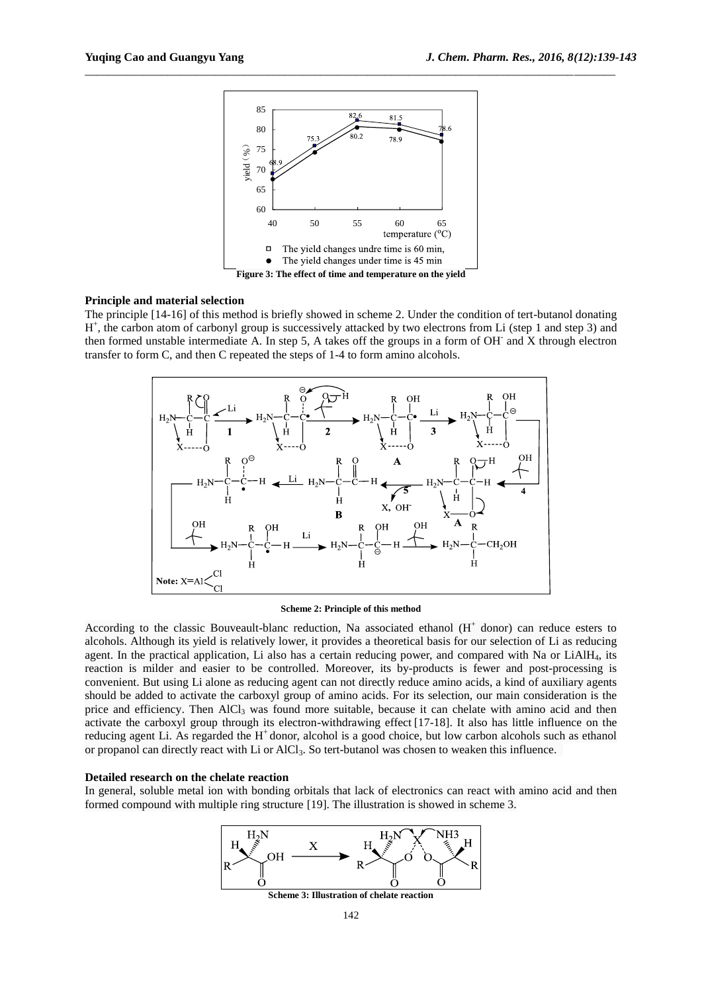

\_\_\_\_\_\_\_\_\_\_\_\_\_\_\_\_\_\_\_\_\_\_\_\_\_\_\_\_\_\_\_\_\_\_\_\_\_\_\_\_\_\_\_\_\_\_\_\_\_\_\_\_\_\_\_\_\_\_\_\_\_\_\_\_\_\_\_\_\_\_\_\_\_\_\_\_\_\_\_\_\_\_\_\_\_\_\_\_\_\_

## **Principle and material selection**

The principle [14-16] of this method is briefly showed in scheme 2. Under the condition of tert-butanol donating H<sup>+</sup>, the carbon atom of carbonyl group is successively attacked by two electrons from Li (step 1 and step 3) and then formed unstable intermediate A. In step 5, A takes off the groups in a form of OH-and X through electron transfer to form C, and then C repeated the steps of 1-4 to form amino alcohols.



#### **Scheme 2: Principle of this method**

According to the classic Bouveault-blanc reduction, Na associated ethanol  $(H<sup>+</sup>$  donor) can reduce esters to alcohols. Although its yield is relatively lower, it provides a theoretical basis for our selection of Li as reducing agent. In the practical application, Li also has a certain reducing power, and compared with Na or LiAlH<sub>4</sub>, its reaction is milder and easier to be controlled. Moreover, its by-products is fewer and post-processing is convenient. But using Li alone as reducing agent can not directly reduce amino acids, a kind of auxiliary agents should be added to activate the carboxyl group of amino acids. For its selection, our main consideration is the price and efficiency. Then AlCl<sub>3</sub> was found more suitable, because it can chelate with amino acid and then activate the carboxyl group through its electron-withdrawing effect [17-18]. It also has little influence on the reducing agent Li. As regarded the H<sup>+</sup> donor, alcohol is a good choice, but low carbon alcohols such as ethanol or propanol can directly react with Li or AlCl<sub>3</sub>. So tert-butanol was chosen to weaken this influence.

#### **Detailed research on the chelate reaction**

In general, soluble metal ion with bonding orbitals that lack of electronics can react with amino acid and then formed compound with multiple ring structure [19]. The illustration is showed in scheme 3.